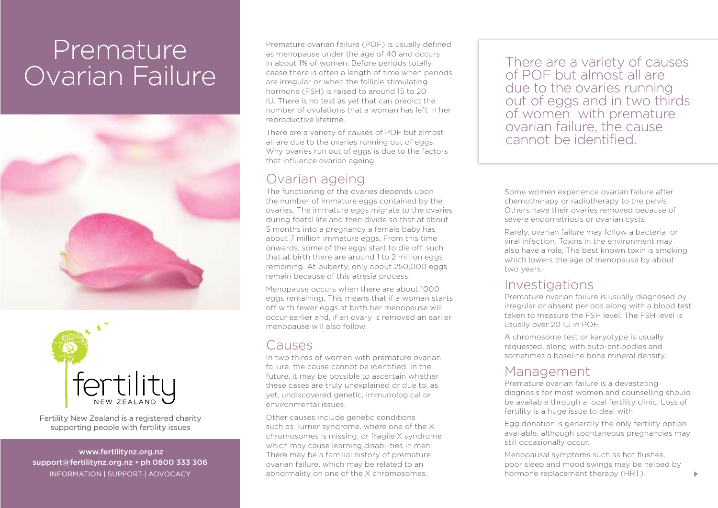# Premature Ovarian Failure





Fertility New Zealand is a registered charity supporting people with fertility issues

 www.fertilitynz.org.nz support@fertilitynz.org.nz • ph 0800 333 306 information | support | advocacy

Premature ovarian failure (POF) is usually defined as menopause under the age of 40 and occurs in about 1% of women. Before periods totally cease there is often a length of time when periods are irregular or when the follicle stimulating hormone (FSH) is raised to around 15 to 20 IU. There is no test as yet that can predict the number of ovulations that a woman has left in her reproductive lifetime.

There are a variety of causes of POF but almost all are due to the ovaries running out of eggs. Why ovaries run out of eggs is due to the factors that influence ovarian ageing.

## Ovarian ageing

The functioning of the ovaries depends upon the number of immature eggs contained by the ovaries. The immature eggs migrate to the ovaries during foetal life and then divide so that at about 5 months into a pregnancy a female baby has about 7 million immature eggs. From this time onwards, some of the eggs start to die off, such that at birth there are around 1 to 2 million eggs remaining. At puberty, only about 250,000 eggs remain because of this atresia process.

Menopause occurs when there are about 1000 eggs remaining. This means that if a woman starts off with fewer eggs at birth her menopause will occur earlier and, if an ovary is removed an earlier menopause will also follow.

## Causes

In two thirds of women with premature ovarian failure, the cause cannot be identified. In the future, it may be possible to ascertain whether these cases are truly unexplained or due to, as yet, undiscovered genetic, immunological or environmental issues.

Other causes include genetic conditions such as Turner syndrome, where one of the X chromosomes is missing, or fragile X syndrome which may cause learning disabilities in men. There may be a familial history of premature ovarian failure, which may be related to an abnormality on one of the X chromosomes.

There are a variety of causes of POF but almost all are due to the ovaries running out of eggs and in two thirds of women with premature ovarian failure, the cause cannot be identified.

Some women experience ovarian failure after chemotherapy or radiotherapy to the pelvis. Others have their ovaries removed because of severe endometriosis or ovarian cysts.

Rarely, ovarian failure may follow a bacterial or viral infection. Toxins in the environment may also have a role. The best known toxin is smoking which lowers the age of menopause by about two years.

#### Investigations

Premature ovarian failure is usually diagnosed by irregular or absent periods along with a blood test taken to measure the FSH level. The FSH level is usually over 20 IU in POF.

A chromosome test or karyotype is usually requested, along with auto-antibodies and sometimes a baseline bone mineral density.

## Management

Premature ovarian failure is a devastating diagnosis for most women and counselling should be available through a local fertility clinic. Loss of fertility is a huge issue to deal with.

Egg donation is generally the only fertility option available, although spontaneous pregnancies may still occasionally occur.

Menopausal symptoms such as hot flushes, poor sleep and mood swings may be helped by hormone replacement therapy (HRT).